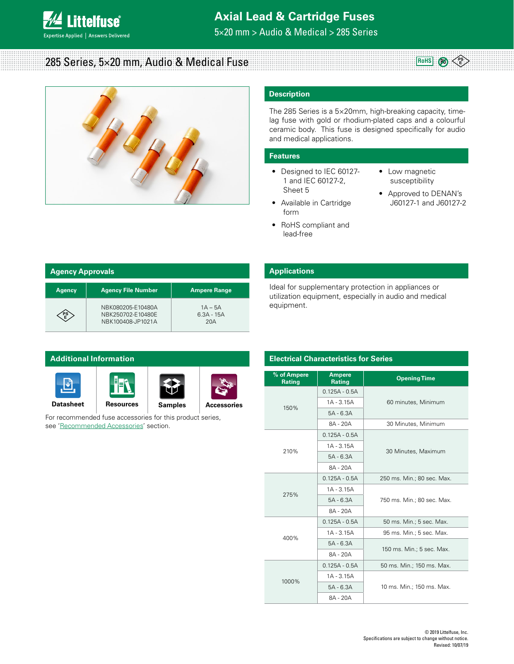

## **Axial Lead & Cartridge Fuses**

5×20 mm > Audio & Medical > 285 Series

# 285 Series, 5×20 mm, Audio & Medical Fuse



## **Description**

The 285 Series is a 5×20mm, high-breaking capacity, timelag fuse with gold or rhodium-plated caps and a colourful ceramic body. This fuse is designed specifically for audio and medical applications.

### **Features**

- Designed to IEC 60127- 1 and IEC 60127-2, Sheet 5
- Available in Cartridge form
- RoHS compliant and lead-free
- Low magnetic susceptibility
- Approved to DENAN's J60127-1 and J60127-2

**RoHS Pb**

**E**

| <b>Agency Approvals</b> |                                                             |                                  |  |  |
|-------------------------|-------------------------------------------------------------|----------------------------------|--|--|
| <b>Agency</b>           | <b>Agency File Number</b>                                   | <b>Ampere Range</b>              |  |  |
|                         | NBK080205-E10480A<br>NBK250702-E10480E<br>NBK100408-JP1021A | $1A - 5A$<br>$6.3A - 15A$<br>20A |  |  |

**[Datasheet](http://www.littelfuse.com/~/media/electronics/datasheets/fuses/littelfuse_fuse_285_datasheet.pdf.pdf) [Resources](http://www.littelfuse.com/products/fuses/axial-radial-thru-hole-fuses/5x20mm-fuses/285.aspx#TechnicalResources) [Samples](http://www.littelfuse.com/products/fuses/axial-radial-thru-hole-fuses/5x20mm-fuses/285.aspx#ElectricalCharacteristics) [Accessories](http://www.littelfuse.com/electronics-fuse-accessories-hbc)** 

For recommended fuse accessories for this product series,

see 'Recommended Accessories' section.

**Additional Information**

 $\overline{\mathbf{v}}$ 

## **Agency Approvals Applications**

Ideal for supplementary protection in appliances or utilization equipment, especially in audio and medical equipment.

## **Electrical Characteristics for Series**

| % of Ampere<br>Rating | <b>Ampere</b><br><b>Rating</b> | <b>Opening Time</b>        |  |  |
|-----------------------|--------------------------------|----------------------------|--|--|
| 150%                  | $0.125A - 0.5A$                |                            |  |  |
|                       | $1A - 3.15A$                   | 60 minutes, Minimum        |  |  |
|                       | $5A - 6.3A$                    |                            |  |  |
|                       | 8A - 20A                       | 30 Minutes, Minimum        |  |  |
|                       | $0.125A - 0.5A$                |                            |  |  |
| 210%                  | $1A - 3.15A$                   |                            |  |  |
|                       | $5A - 6.3A$                    | 30 Minutes, Maximum        |  |  |
|                       | 8A - 20A                       |                            |  |  |
| 275%                  | $0.125A - 0.5A$                | 250 ms. Min.; 80 sec. Max. |  |  |
|                       | $1A - 3.15A$                   |                            |  |  |
|                       | $5A - 6.3A$                    | 750 ms. Min.; 80 sec. Max. |  |  |
|                       | 8A - 20A                       |                            |  |  |
|                       | $0.125A - 0.5A$                | 50 ms. Min.; 5 sec. Max.   |  |  |
|                       | $1A - 3.15A$                   | 95 ms. Min.; 5 sec. Max.   |  |  |
| 400%                  | $5A - 6.3A$                    |                            |  |  |
|                       | 8A - 20A                       | 150 ms. Min.; 5 sec. Max.  |  |  |
|                       | $0.125A - 0.5A$                | 50 ms. Min.; 150 ms. Max.  |  |  |
|                       | $1A - 3.15A$                   |                            |  |  |
| 1000%                 | $5A - 6.3A$                    | 10 ms. Min.; 150 ms. Max.  |  |  |
|                       | 8A - 20A                       |                            |  |  |

#### © 2019 Littelfuse, Inc. Specifications are subject to change without notice. Revised: 10/07/19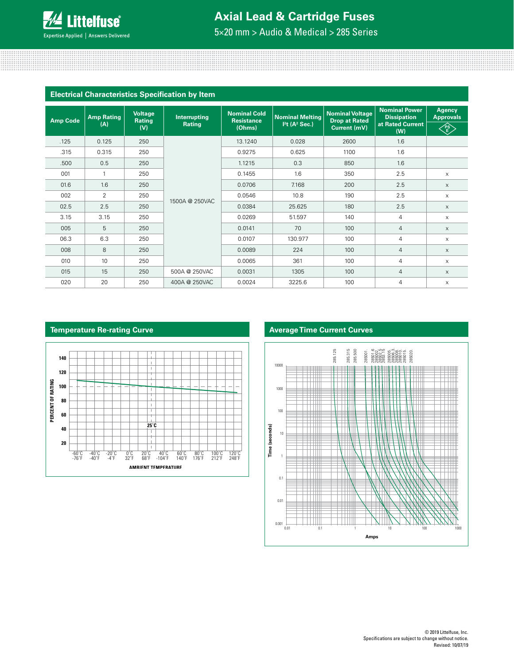

## **Axial Lead & Cartridge Fuses**

5×20 mm > Audio & Medical > 285 Series

| <b>Electrical Characteristics Specification by Item</b> |                          |                                 |                        |                                                    |                                                                  |                                                                |                                                                       |                                                 |
|---------------------------------------------------------|--------------------------|---------------------------------|------------------------|----------------------------------------------------|------------------------------------------------------------------|----------------------------------------------------------------|-----------------------------------------------------------------------|-------------------------------------------------|
| <b>Amp Code</b>                                         | <b>Amp Rating</b><br>(A) | <b>Voltage</b><br>Rating<br>(V) | Interrupting<br>Rating | <b>Nominal Cold</b><br><b>Resistance</b><br>(Ohms) | <b>Nominal Melting</b><br>I <sup>2</sup> t (A <sup>2</sup> Sec.) | <b>Nominal Voltage</b><br><b>Drop at Rated</b><br>Current (mV) | <b>Nominal Power</b><br><b>Dissipation</b><br>at Rated Current<br>(W) | <b>Agency</b><br><b>Approvals</b><br>∕p§े<br>√E |
| .125                                                    | 0.125                    | 250                             |                        | 13.1240                                            | 0.028                                                            | 2600                                                           | 1.6                                                                   |                                                 |
| .315                                                    | 0.315                    | 250                             |                        | 0.9275                                             | 0.625                                                            | 1100                                                           | 1.6                                                                   |                                                 |
| .500                                                    | 0.5                      | 250                             |                        | 1.1215                                             | 0.3                                                              | 850                                                            | 1.6                                                                   |                                                 |
| 001                                                     | $\mathbf{1}$             | 250                             |                        | 0.1455                                             | 1.6                                                              | 350                                                            | 2.5                                                                   | $\times$                                        |
| 01.6                                                    | 1.6                      | 250                             | 1500A @ 250VAC         | 0.0706                                             | 7.168                                                            | 200                                                            | 2.5                                                                   | $\times$                                        |
| 002                                                     | 2                        | 250                             |                        | 0.0546                                             | 10.8                                                             | 190                                                            | 2.5                                                                   | $\times$                                        |
| 02.5                                                    | 2.5                      | 250                             |                        | 0.0384                                             | 25.625                                                           | 180                                                            | 2.5                                                                   | $\times$                                        |
| 3.15                                                    | 3.15                     | 250                             |                        | 0.0269                                             | 51.597                                                           | 140                                                            | 4                                                                     | X                                               |
| 005                                                     | 5                        | 250                             |                        | 0.0141                                             | 70                                                               | 100                                                            | $\overline{4}$                                                        | $\times$                                        |
| 06.3                                                    | 6.3                      | 250                             |                        | 0.0107                                             | 130.977                                                          | 100                                                            | 4                                                                     | $\times$                                        |
| 008                                                     | 8                        | 250                             |                        | 0.0089                                             | 224                                                              | 100                                                            | $\overline{4}$                                                        | $\times$                                        |
| 010                                                     | 10                       | 250                             |                        | 0.0065                                             | 361                                                              | 100                                                            | 4                                                                     | X                                               |
| 015                                                     | 15                       | 250                             | 500A @ 250VAC          | 0.0031                                             | 1305                                                             | 100                                                            | $\overline{4}$                                                        | $\times$                                        |
| 020                                                     | 20                       | 250                             | 400A @ 250VAC          | 0.0024                                             | 3225.6                                                           | 100                                                            | 4                                                                     | $\times$                                        |





#### © 2019 Littelfuse, Inc. Specifications are subject to change without notice. Revised: 10/07/19